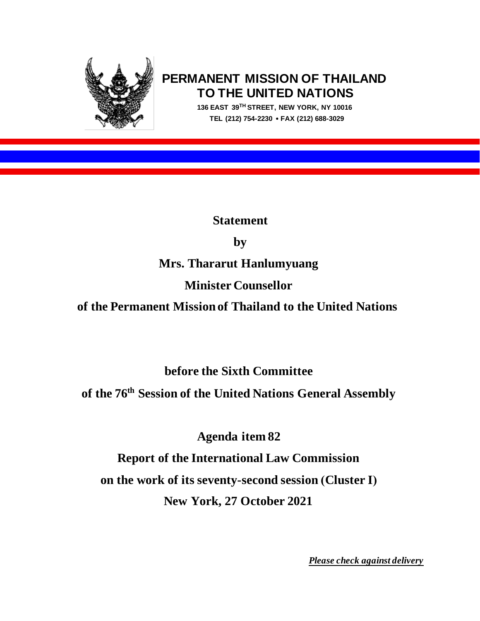

# **PERMANENT MISSION OF THAILAND TO THE UNITED NATIONS**

 **136 EAST 39TH STREET, NEW YORK, NY 10016 TEL (212) 754-2230 FAX (212) 688-3029**

**Statement** 

**by** 

**Mrs. Thararut Hanlumyuang**

# **Minister Counsellor**

**of the Permanent Mission of Thailand to the United Nations**

**before the Sixth Committee**

**of the 76th Session of the United Nations General Assembly**

**Agenda item 82**

**Report of the International Law Commission on the work of its seventy-second session (Cluster I) New York, 27 October 2021**

*Please check against delivery*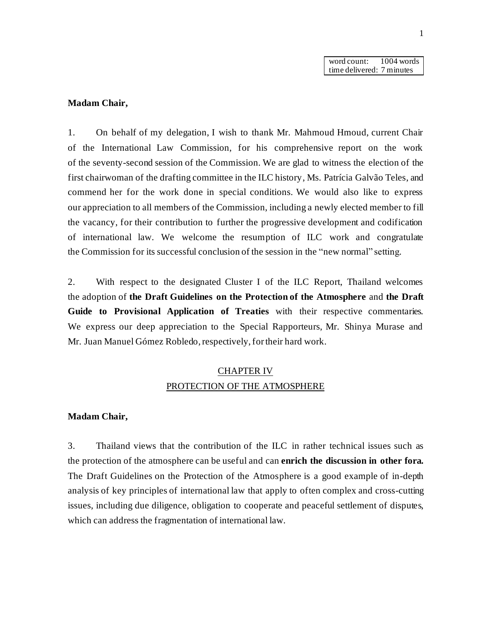word count: 1004 words time delivered: 7 minutes

## **Madam Chair,**

1. On behalf of my delegation, I wish to thank Mr. Mahmoud Hmoud, current Chair of the International Law Commission, for his comprehensive report on the work of the seventy-second session of the Commission. We are glad to witness the election of the first chairwoman of the drafting committee in the ILC history, Ms. Patrícia Galvão Teles, and commend her for the work done in special conditions. We would also like to express our appreciation to all members of the Commission, including a newly elected member to fill the vacancy, for their contribution to further the progressive development and codification of international law. We welcome the resumption of ILC work and congratulate the Commission for its successful conclusion of the session in the "new normal" setting.

2. With respect to the designated Cluster I of the ILC Report, Thailand welcomes the adoption of **the Draft Guidelines on the Protection of the Atmosphere** and **the Draft Guide to Provisional Application of Treaties** with their respective commentaries. We express our deep appreciation to the Special Rapporteurs, Mr. Shinya Murase and Mr. Juan Manuel Gómez Robledo, respectively, for their hard work.

# CHAPTER IV PROTECTION OF THE ATMOSPHERE

#### **Madam Chair,**

3. Thailand views that the contribution of the ILC in rather technical issues such as the protection of the atmosphere can be useful and can **enrich the discussion in other fora.**  The Draft Guidelines on the Protection of the Atmosphere is a good example of in-depth analysis of key principles of international law that apply to often complex and cross-cutting issues, including due diligence, obligation to cooperate and peaceful settlement of disputes, which can address the fragmentation of international law.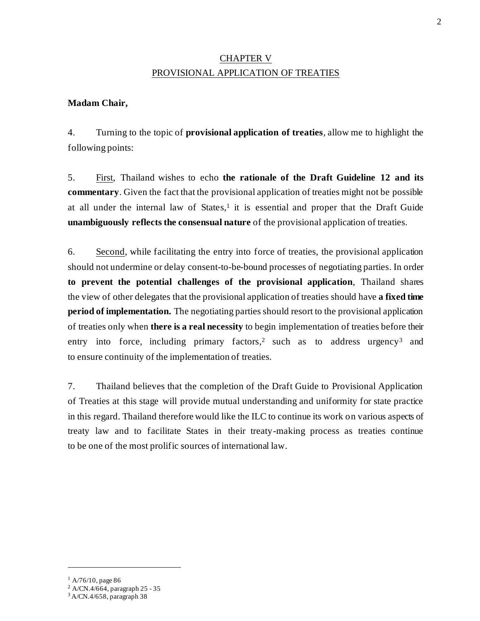# CHAPTER V PROVISIONAL APPLICATION OF TREATIES

# **Madam Chair,**

4. Turning to the topic of **provisional application of treaties**, allow me to highlight the following points:

5. First, Thailand wishes to echo **the rationale of the Draft Guideline 12 and its commentary**. Given the fact that the provisional application of treaties might not be possible at all under the internal law of States, 1 it is essential and proper that the Draft Guide **unambiguously reflects the consensual nature** of the provisional application of treaties.

6. Second, while facilitating the entry into force of treaties, the provisional application should not undermine or delay consent-to-be-bound processes of negotiating parties. In order **to prevent the potential challenges of the provisional application**, Thailand shares the view of other delegates that the provisional application of treaties should have **a fixed time period of implementation.** The negotiating parties should resort to the provisional application of treaties only when **there is a real necessity** to begin implementation of treaties before their entry into force, including primary factors,<sup>2</sup> such as to address urgency<sup>3</sup> and to ensure continuity of the implementation of treaties.

7. Thailand believes that the completion of the Draft Guide to Provisional Application of Treaties at this stage will provide mutual understanding and uniformity for state practice in this regard. Thailand therefore would like the ILC to continue its work on various aspects of treaty law and to facilitate States in their treaty-making process as treaties continue to be one of the most prolific sources of international law.

 $1$  A/76/10, page 86

<sup>2</sup> A/CN.4/664, paragraph 25 - 35

<sup>3</sup> A/CN.4/658, paragraph 38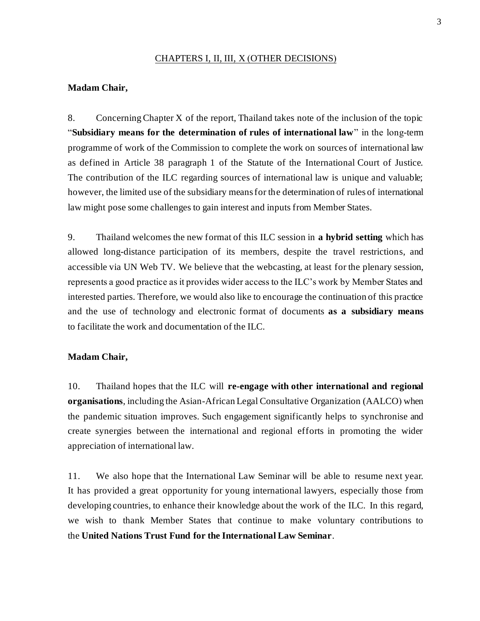## CHAPTERS I, II, III, X (OTHER DECISIONS)

### **Madam Chair,**

8. Concerning Chapter X of the report, Thailand takes note of the inclusion of the topic "**Subsidiary means for the determination of rules of international law**" in the long-term programme of work of the Commission to complete the work on sources of international law as defined in Article 38 paragraph 1 of the Statute of the International Court of Justice. The contribution of the ILC regarding sources of international law is unique and valuable; however, the limited use of the subsidiary means for the determination of rules of international law might pose some challenges to gain interest and inputs from Member States.

9. Thailand welcomes the new format of this ILC session in **a hybrid setting** which has allowed long-distance participation of its members, despite the travel restrictions, and accessible via UN Web TV. We believe that the webcasting, at least for the plenary session, represents a good practice as it provides wider access to the ILC's work by Member States and interested parties. Therefore, we would also like to encourage the continuation of this practice and the use of technology and electronic format of documents **as a subsidiary means** to facilitate the work and documentation of the ILC.

#### **Madam Chair,**

10. Thailand hopes that the ILC will **re-engage with other international and regional organisations**, including the Asian-African Legal Consultative Organization (AALCO) when the pandemic situation improves. Such engagement significantly helps to synchronise and create synergies between the international and regional efforts in promoting the wider appreciation of international law.

11. We also hope that the International Law Seminar will be able to resume next year. It has provided a great opportunity for young international lawyers, especially those from developing countries, to enhance their knowledge about the work of the ILC. In this regard, we wish to thank Member States that continue to make voluntary contributions to the **United Nations Trust Fund for the International Law Seminar**.